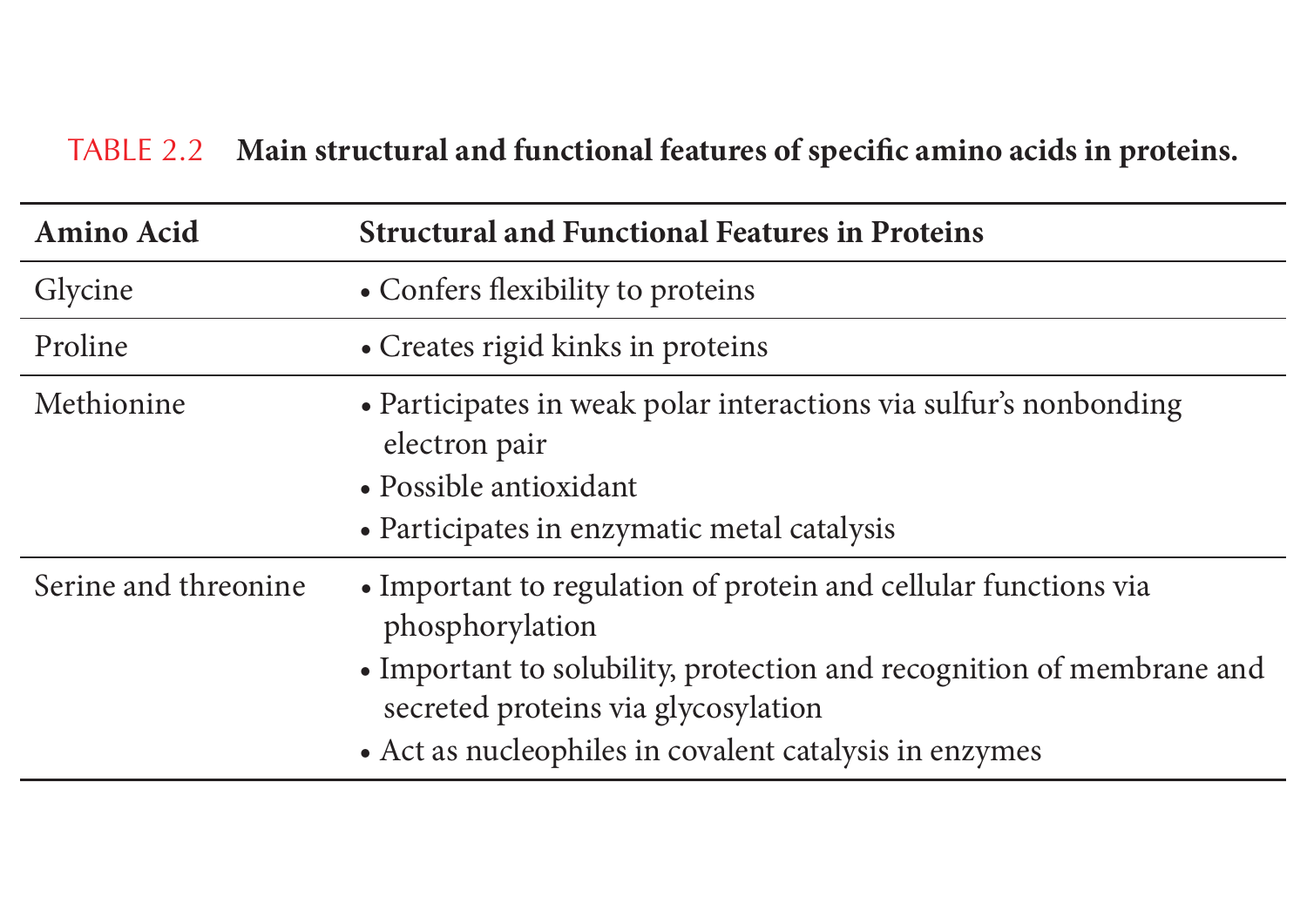## TABLE 2.2 Main structural and functional features of specific amino acids in proteins.

| <b>Amino Acid</b>    | <b>Structural and Functional Features in Proteins</b>                                                                                                                                                                                                        |
|----------------------|--------------------------------------------------------------------------------------------------------------------------------------------------------------------------------------------------------------------------------------------------------------|
| Glycine              | • Confers flexibility to proteins                                                                                                                                                                                                                            |
| Proline              | • Creates rigid kinks in proteins                                                                                                                                                                                                                            |
| Methionine           | • Participates in weak polar interactions via sulfur's nonbonding<br>electron pair<br>• Possible antioxidant<br>• Participates in enzymatic metal catalysis                                                                                                  |
| Serine and threonine | • Important to regulation of protein and cellular functions via<br>phosphorylation<br>• Important to solubility, protection and recognition of membrane and<br>secreted proteins via glycosylation<br>• Act as nucleophiles in covalent catalysis in enzymes |